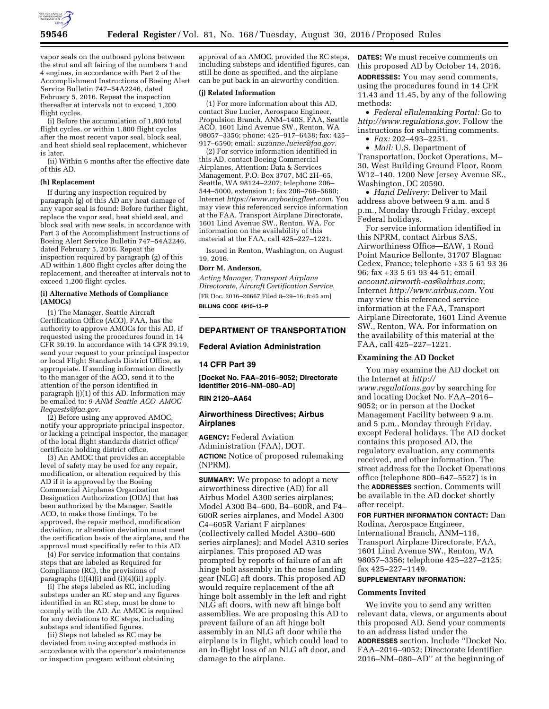

vapor seals on the outboard pylons between the strut and aft fairing of the numbers 1 and 4 engines, in accordance with Part 2 of the Accomplishment Instructions of Boeing Alert Service Bulletin 747–54A2246, dated February 5, 2016. Repeat the inspection thereafter at intervals not to exceed 1,200 flight cycles.

(i) Before the accumulation of 1,800 total flight cycles, or within 1,800 flight cycles after the most recent vapor seal, block seal, and heat shield seal replacement, whichever is later.

(ii) Within 6 months after the effective date of this AD.

## **(h) Replacement**

If during any inspection required by paragraph (g) of this AD any heat damage of any vapor seal is found: Before further flight, replace the vapor seal, heat shield seal, and block seal with new seals, in accordance with Part 3 of the Accomplishment Instructions of Boeing Alert Service Bulletin 747–54A2246, dated February 5, 2016. Repeat the inspection required by paragraph (g) of this AD within 1,800 flight cycles after doing the replacement, and thereafter at intervals not to exceed 1,200 flight cycles.

### **(i) Alternative Methods of Compliance (AMOCs)**

(1) The Manager, Seattle Aircraft Certification Office (ACO), FAA, has the authority to approve AMOCs for this AD, if requested using the procedures found in 14 CFR 39.19. In accordance with 14 CFR 39.19, send your request to your principal inspector or local Flight Standards District Office, as appropriate. If sending information directly to the manager of the ACO, send it to the attention of the person identified in paragraph (j)(1) of this AD. Information mav be emailed to: *[9-ANM-Seattle-ACO–AMOC-](mailto:9-ANM-Seattle-ACO-AMOC-Requests@faa.gov)[Requests@faa.gov.](mailto:9-ANM-Seattle-ACO-AMOC-Requests@faa.gov)* 

(2) Before using any approved AMOC, notify your appropriate principal inspector, or lacking a principal inspector, the manager of the local flight standards district office/ certificate holding district office.

(3) An AMOC that provides an acceptable level of safety may be used for any repair, modification, or alteration required by this AD if it is approved by the Boeing Commercial Airplanes Organization Designation Authorization (ODA) that has been authorized by the Manager, Seattle ACO, to make those findings. To be approved, the repair method, modification deviation, or alteration deviation must meet the certification basis of the airplane, and the approval must specifically refer to this AD.

(4) For service information that contains steps that are labeled as Required for Compliance (RC), the provisions of paragraphs  $(i)(4)(i)$  and  $(i)(4)(ii)$  apply.

(i) The steps labeled as RC, including substeps under an RC step and any figures identified in an RC step, must be done to comply with the AD. An AMOC is required for any deviations to RC steps, including substeps and identified figures.

(ii) Steps not labeled as RC may be deviated from using accepted methods in accordance with the operator's maintenance or inspection program without obtaining

approval of an AMOC, provided the RC steps, including substeps and identified figures, can still be done as specified, and the airplane can be put back in an airworthy condition.

## **(j) Related Information**

(1) For more information about this AD, contact Sue Lucier, Aerospace Engineer, Propulsion Branch, ANM–140S, FAA, Seattle ACO, 1601 Lind Avenue SW., Renton, WA 98057–3356; phone: 425–917–6438; fax: 425– 917–6590; email: *[suzanne.lucier@faa.gov.](mailto:suzanne.lucier@faa.gov)* 

(2) For service information identified in this AD, contact Boeing Commercial Airplanes, Attention: Data & Services Management, P.O. Box 3707, MC 2H–65, Seattle, WA 98124–2207; telephone 206– 544–5000, extension 1; fax 206–766–5680; Internet *[https://www.myboeingfleet.com.](https://www.myboeingfleet.com)* You may view this referenced service information at the FAA, Transport Airplane Directorate, 1601 Lind Avenue SW., Renton, WA. For information on the availability of this material at the FAA, call 425–227–1221.

Issued in Renton, Washington, on August 19, 2016.

#### **Dorr M. Anderson,**

*Acting Manager, Transport Airplane Directorate, Aircraft Certification Service.*  [FR Doc. 2016–20667 Filed 8–29–16; 8:45 am] **BILLING CODE 4910–13–P** 

# **DEPARTMENT OF TRANSPORTATION**

### **Federal Aviation Administration**

# **14 CFR Part 39**

**[Docket No. FAA–2016–9052; Directorate Identifier 2016–NM–080–AD]** 

#### **RIN 2120–AA64**

## **Airworthiness Directives; Airbus Airplanes**

**AGENCY:** Federal Aviation Administration (FAA), DOT. **ACTION:** Notice of proposed rulemaking (NPRM).

**SUMMARY:** We propose to adopt a new airworthiness directive (AD) for all Airbus Model A300 series airplanes; Model A300 B4–600, B4–600R, and F4– 600R series airplanes, and Model A300 C4–605R Variant F airplanes (collectively called Model A300–600 series airplanes); and Model A310 series airplanes. This proposed AD was prompted by reports of failure of an aft hinge bolt assembly in the nose landing gear (NLG) aft doors. This proposed AD would require replacement of the aft hinge bolt assembly in the left and right NLG aft doors, with new aft hinge bolt assemblies. We are proposing this AD to prevent failure of an aft hinge bolt assembly in an NLG aft door while the airplane is in flight, which could lead to an in-flight loss of an NLG aft door, and damage to the airplane.

**DATES:** We must receive comments on this proposed AD by October 14, 2016. **ADDRESSES:** You may send comments, using the procedures found in 14 CFR 11.43 and 11.45, by any of the following methods:

• *Federal eRulemaking Portal:* Go to *[http://www.regulations.gov.](http://www.regulations.gov)* Follow the instructions for submitting comments.

• *Fax:* 202–493–2251.

• *Mail:* U.S. Department of Transportation, Docket Operations, M– 30, West Building Ground Floor, Room W12–140, 1200 New Jersey Avenue SE., Washington, DC 20590.

• *Hand Delivery:* Deliver to Mail address above between 9 a.m. and 5 p.m., Monday through Friday, except Federal holidays.

For service information identified in this NPRM, contact Airbus SAS, Airworthiness Office—EAW, 1 Rond Point Maurice Bellonte, 31707 Blagnac Cedex, France; telephone +33 5 61 93 36 96; fax +33 5 61 93 44 51; email *[account.airworth-eas@airbus.com](mailto:account.airworth-eas@airbus.com)*; Internet *[http://www.airbus.com.](http://www.airbus.com)* You may view this referenced service information at the FAA, Transport Airplane Directorate, 1601 Lind Avenue SW., Renton, WA. For information on the availability of this material at the FAA, call 425–227–1221.

### **Examining the AD Docket**

You may examine the AD docket on the Internet at *[http://](http://www.regulations.gov) [www.regulations.gov](http://www.regulations.gov)* by searching for and locating Docket No. FAA–2016– 9052; or in person at the Docket Management Facility between 9 a.m. and 5 p.m., Monday through Friday, except Federal holidays. The AD docket contains this proposed AD, the regulatory evaluation, any comments received, and other information. The street address for the Docket Operations office (telephone 800–647–5527) is in the **ADDRESSES** section. Comments will be available in the AD docket shortly after receipt.

**FOR FURTHER INFORMATION CONTACT:** Dan Rodina, Aerospace Engineer, International Branch, ANM–116, Transport Airplane Directorate, FAA, 1601 Lind Avenue SW., Renton, WA 98057–3356; telephone 425–227–2125; fax 425–227–1149.

### **SUPPLEMENTARY INFORMATION:**

#### **Comments Invited**

We invite you to send any written relevant data, views, or arguments about this proposed AD. Send your comments to an address listed under the **ADDRESSES** section. Include ''Docket No. FAA–2016–9052; Directorate Identifier 2016–NM–080–AD'' at the beginning of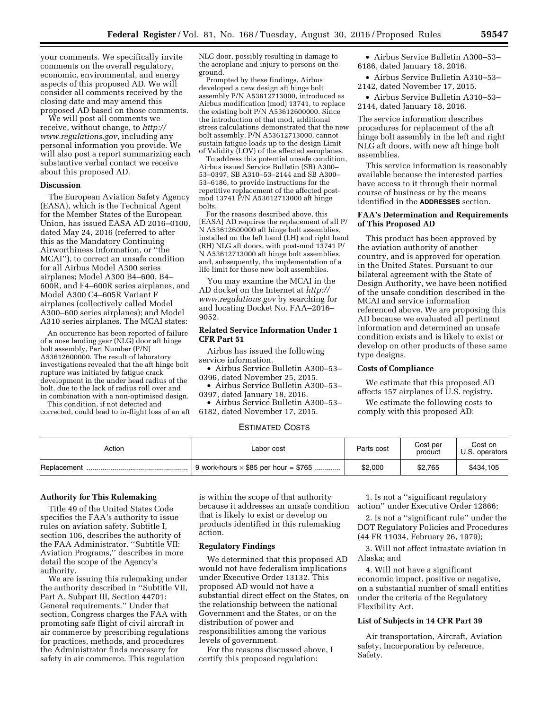your comments. We specifically invite comments on the overall regulatory, economic, environmental, and energy aspects of this proposed AD. We will consider all comments received by the closing date and may amend this proposed AD based on those comments.

We will post all comments we receive, without change, to *[http://](http://www.regulations.gov) [www.regulations.gov](http://www.regulations.gov)*, including any personal information you provide. We will also post a report summarizing each substantive verbal contact we receive about this proposed AD.

#### **Discussion**

The European Aviation Safety Agency (EASA), which is the Technical Agent for the Member States of the European Union, has issued EASA AD 2016–0100, dated May 24, 2016 (referred to after this as the Mandatory Continuing Airworthiness Information, or ''the MCAI''), to correct an unsafe condition for all Airbus Model A300 series airplanes; Model A300 B4–600, B4– 600R, and F4–600R series airplanes, and Model A300 C4–605R Variant F airplanes (collectively called Model A300–600 series airplanes); and Model A310 series airplanes. The MCAI states:

An occurrence has been reported of failure of a nose landing gear (NLG) door aft hinge bolt assembly, Part Number (P/N) A53612600000. The result of laboratory investigations revealed that the aft hinge bolt rupture was initiated by fatigue crack development in the under head radius of the bolt, due to the lack of radius roll over and in combination with a non-optimised design.

This condition, if not detected and corrected, could lead to in-flight loss of an aft

NLG door, possibly resulting in damage to the aeroplane and injury to persons on the ground.

Prompted by these findings, Airbus developed a new design aft hinge bolt assembly P/N A53612713000, introduced as Airbus modification (mod) 13741, to replace the existing bolt P/N A53612600000. Since the introduction of that mod, additional stress calculations demonstrated that the new bolt assembly, P/N A53612713000, cannot sustain fatigue loads up to the design Limit of Validity (LOV) of the affected aeroplanes.

To address this potential unsafe condition, Airbus issued Service Bulletin (SB) A300– 53–0397, SB A310–53–2144 and SB A300– 53–6186, to provide instructions for the repetitive replacement of the affected postmod 13741 P/N A53612713000 aft hinge bolts.

For the reasons described above, this [EASA] AD requires the replacement of all P/ N A53612600000 aft hinge bolt assemblies, installed on the left hand (LH) and right hand (RH) NLG aft doors, with post-mod 13741 P/ N A53612713000 aft hinge bolt assemblies, and, subsequently, the implementation of a life limit for those new bolt assemblies.

You may examine the MCAI in the AD docket on the Internet at *[http://](http://www.regulations.gov) [www.regulations.gov](http://www.regulations.gov)* by searching for and locating Docket No. FAA–2016– 9052.

## **Related Service Information Under 1 CFR Part 51**

Airbus has issued the following service information.

• Airbus Service Bulletin A300–53– 0396, dated November 25, 2015.

• Airbus Service Bulletin A300–53– 0397, dated January 18, 2016.

• Airbus Service Bulletin A300–53– 6182, dated November 17, 2015.

# ESTIMATED COSTS

| Action                        | Labor cost                                  | Parts cost | Cost per<br>product | Cost on<br>U.S. operators |
|-------------------------------|---------------------------------------------|------------|---------------------|---------------------------|
| Replacement<br>. . <b>.</b> . | 9 work-hours $\times$ \$85 per hour = \$765 | \$2,000    | \$2.765             | \$434,105                 |

## **Authority for This Rulemaking**

Title 49 of the United States Code specifies the FAA's authority to issue rules on aviation safety. Subtitle I, section 106, describes the authority of the FAA Administrator. ''Subtitle VII: Aviation Programs,'' describes in more detail the scope of the Agency's authority.

We are issuing this rulemaking under the authority described in ''Subtitle VII, Part A, Subpart III, Section 44701: General requirements.'' Under that section, Congress charges the FAA with promoting safe flight of civil aircraft in air commerce by prescribing regulations for practices, methods, and procedures the Administrator finds necessary for safety in air commerce. This regulation

is within the scope of that authority because it addresses an unsafe condition that is likely to exist or develop on products identified in this rulemaking action.

## **Regulatory Findings**

We determined that this proposed AD would not have federalism implications under Executive Order 13132. This proposed AD would not have a substantial direct effect on the States, on the relationship between the national Government and the States, or on the distribution of power and responsibilities among the various levels of government.

For the reasons discussed above, I certify this proposed regulation:

1. Is not a ''significant regulatory action'' under Executive Order 12866;

2. Is not a ''significant rule'' under the DOT Regulatory Policies and Procedures (44 FR 11034, February 26, 1979);

3. Will not affect intrastate aviation in Alaska; and

4. Will not have a significant economic impact, positive or negative, on a substantial number of small entities under the criteria of the Regulatory Flexibility Act.

### **List of Subjects in 14 CFR Part 39**

Air transportation, Aircraft, Aviation safety, Incorporation by reference, Safety.

• Airbus Service Bulletin A300–53– 6186, dated January 18, 2016.

• Airbus Service Bulletin A310–53– 2142, dated November 17, 2015.

• Airbus Service Bulletin A310–53– 2144, dated January 18, 2016.

The service information describes procedures for replacement of the aft hinge bolt assembly in the left and right NLG aft doors, with new aft hinge bolt assemblies.

This service information is reasonably available because the interested parties have access to it through their normal course of business or by the means identified in the **ADDRESSES** section.

## **FAA's Determination and Requirements of This Proposed AD**

This product has been approved by the aviation authority of another country, and is approved for operation in the United States. Pursuant to our bilateral agreement with the State of Design Authority, we have been notified of the unsafe condition described in the MCAI and service information referenced above. We are proposing this AD because we evaluated all pertinent information and determined an unsafe condition exists and is likely to exist or develop on other products of these same type designs.

# **Costs of Compliance**

We estimate that this proposed AD affects 157 airplanes of U.S. registry.

We estimate the following costs to comply with this proposed AD: